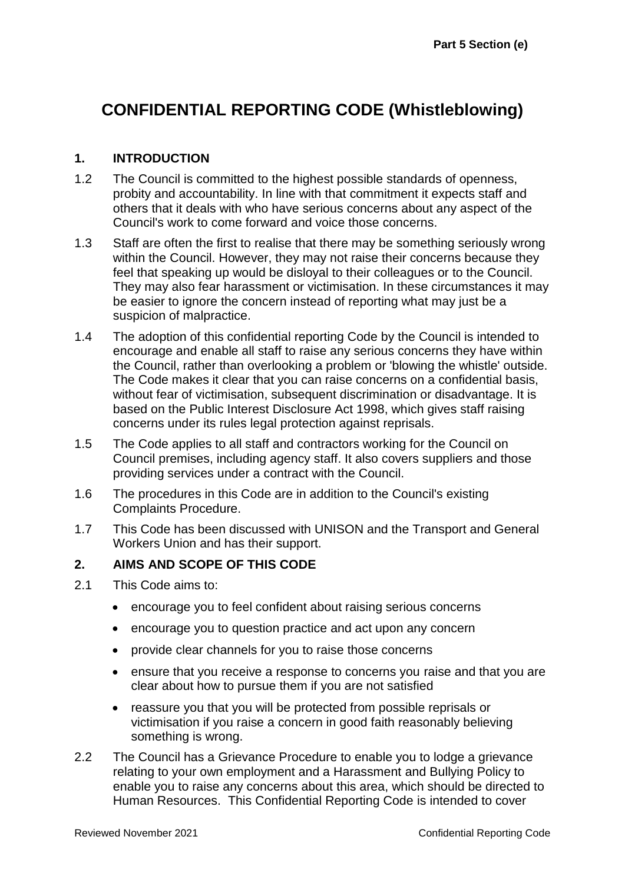# **CONFIDENTIAL REPORTING CODE (Whistleblowing)**

#### **1. INTRODUCTION**

- 1.2 The Council is committed to the highest possible standards of openness, probity and accountability. In line with that commitment it expects staff and others that it deals with who have serious concerns about any aspect of the Council's work to come forward and voice those concerns.
- 1.3 Staff are often the first to realise that there may be something seriously wrong within the Council. However, they may not raise their concerns because they feel that speaking up would be disloyal to their colleagues or to the Council. They may also fear harassment or victimisation. In these circumstances it may be easier to ignore the concern instead of reporting what may just be a suspicion of malpractice.
- 1.4 The adoption of this confidential reporting Code by the Council is intended to encourage and enable all staff to raise any serious concerns they have within the Council, rather than overlooking a problem or 'blowing the whistle' outside. The Code makes it clear that you can raise concerns on a confidential basis, without fear of victimisation, subsequent discrimination or disadvantage. It is based on the Public Interest Disclosure Act 1998, which gives staff raising concerns under its rules legal protection against reprisals.
- 1.5 The Code applies to all staff and contractors working for the Council on Council premises, including agency staff. It also covers suppliers and those providing services under a contract with the Council.
- 1.6 The procedures in this Code are in addition to the Council's existing Complaints Procedure.
- 1.7 This Code has been discussed with UNISON and the Transport and General Workers Union and has their support.

#### **2. AIMS AND SCOPE OF THIS CODE**

- 2.1 This Code aims to:
	- encourage you to feel confident about raising serious concerns
	- encourage you to question practice and act upon any concern
	- provide clear channels for you to raise those concerns
	- ensure that you receive a response to concerns you raise and that you are clear about how to pursue them if you are not satisfied
	- reassure you that you will be protected from possible reprisals or victimisation if you raise a concern in good faith reasonably believing something is wrong.
- 2.2 The Council has a Grievance Procedure to enable you to lodge a grievance relating to your own employment and a Harassment and Bullying Policy to enable you to raise any concerns about this area, which should be directed to Human Resources. This Confidential Reporting Code is intended to cover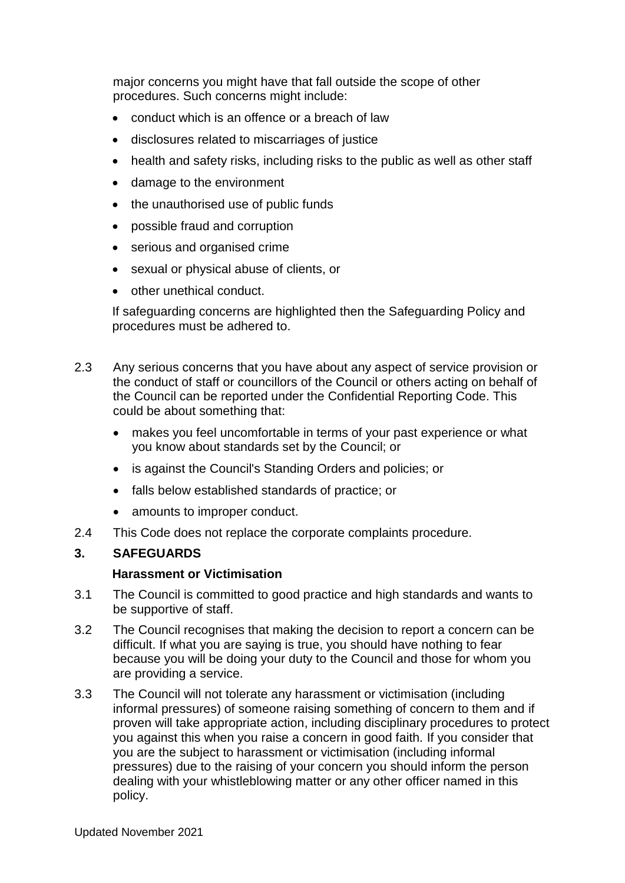major concerns you might have that fall outside the scope of other procedures. Such concerns might include:

- conduct which is an offence or a breach of law
- disclosures related to miscarriages of justice
- health and safety risks, including risks to the public as well as other staff
- damage to the environment
- the unauthorised use of public funds
- possible fraud and corruption
- serious and organised crime
- sexual or physical abuse of clients, or
- other unethical conduct.

If safeguarding concerns are highlighted then the Safeguarding Policy and procedures must be adhered to.

- 2.3 Any serious concerns that you have about any aspect of service provision or the conduct of staff or councillors of the Council or others acting on behalf of the Council can be reported under the Confidential Reporting Code. This could be about something that:
	- makes you feel uncomfortable in terms of your past experience or what you know about standards set by the Council; or
	- is against the Council's Standing Orders and policies; or
	- falls below established standards of practice; or
	- amounts to improper conduct.
- 2.4 This Code does not replace the corporate complaints procedure.

## **3. SAFEGUARDS**

#### **Harassment or Victimisation**

- 3.1 The Council is committed to good practice and high standards and wants to be supportive of staff.
- 3.2 The Council recognises that making the decision to report a concern can be difficult. If what you are saying is true, you should have nothing to fear because you will be doing your duty to the Council and those for whom you are providing a service.
- 3.3 The Council will not tolerate any harassment or victimisation (including informal pressures) of someone raising something of concern to them and if proven will take appropriate action, including disciplinary procedures to protect you against this when you raise a concern in good faith. If you consider that you are the subject to harassment or victimisation (including informal pressures) due to the raising of your concern you should inform the person dealing with your whistleblowing matter or any other officer named in this policy.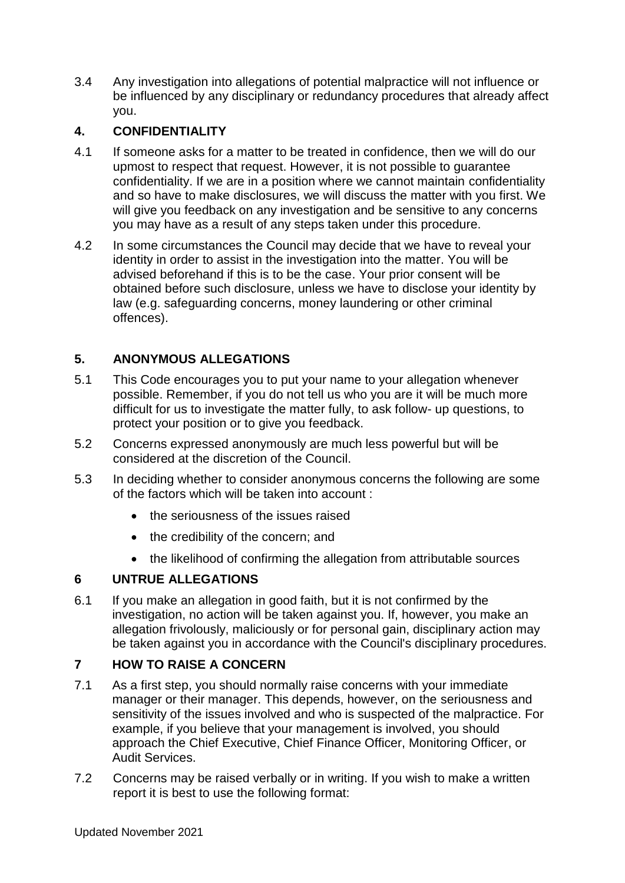3.4 Any investigation into allegations of potential malpractice will not influence or be influenced by any disciplinary or redundancy procedures that already affect you.

# **4. CONFIDENTIALITY**

- 4.1 If someone asks for a matter to be treated in confidence, then we will do our upmost to respect that request. However, it is not possible to guarantee confidentiality. If we are in a position where we cannot maintain confidentiality and so have to make disclosures, we will discuss the matter with you first. We will give you feedback on any investigation and be sensitive to any concerns you may have as a result of any steps taken under this procedure.
- 4.2 In some circumstances the Council may decide that we have to reveal your identity in order to assist in the investigation into the matter. You will be advised beforehand if this is to be the case. Your prior consent will be obtained before such disclosure, unless we have to disclose your identity by law (e.g. safeguarding concerns, money laundering or other criminal offences).

# **5. ANONYMOUS ALLEGATIONS**

- 5.1 This Code encourages you to put your name to your allegation whenever possible. Remember, if you do not tell us who you are it will be much more difficult for us to investigate the matter fully, to ask follow- up questions, to protect your position or to give you feedback.
- 5.2 Concerns expressed anonymously are much less powerful but will be considered at the discretion of the Council.
- 5.3 In deciding whether to consider anonymous concerns the following are some of the factors which will be taken into account :
	- the seriousness of the issues raised
	- the credibility of the concern; and
	- the likelihood of confirming the allegation from attributable sources

## **6 UNTRUE ALLEGATIONS**

6.1 If you make an allegation in good faith, but it is not confirmed by the investigation, no action will be taken against you. If, however, you make an allegation frivolously, maliciously or for personal gain, disciplinary action may be taken against you in accordance with the Council's disciplinary procedures.

## **7 HOW TO RAISE A CONCERN**

- 7.1 As a first step, you should normally raise concerns with your immediate manager or their manager. This depends, however, on the seriousness and sensitivity of the issues involved and who is suspected of the malpractice. For example, if you believe that your management is involved, you should approach the Chief Executive, Chief Finance Officer, Monitoring Officer, or Audit Services.
- 7.2 Concerns may be raised verbally or in writing. If you wish to make a written report it is best to use the following format: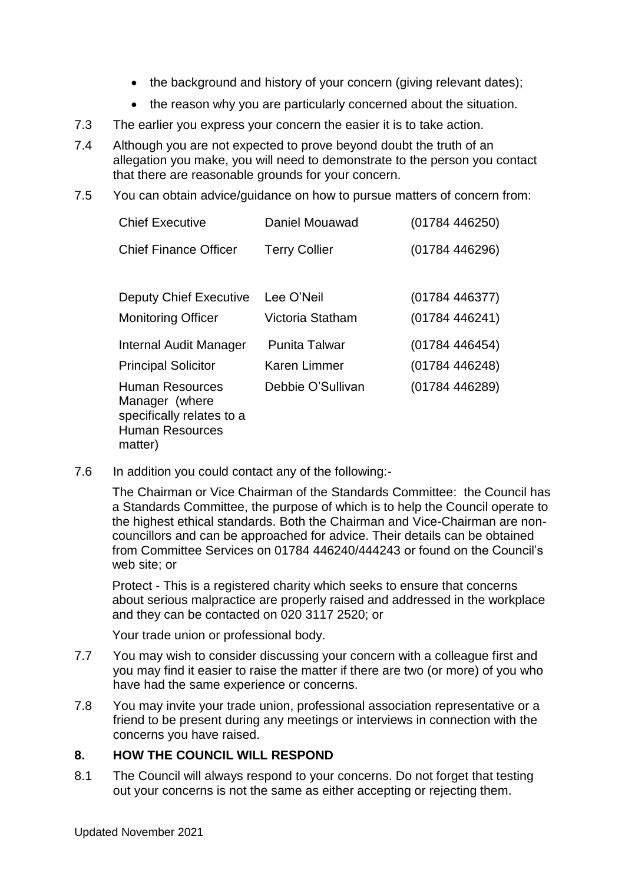- the background and history of your concern (giving relevant dates);
- the reason why you are particularly concerned about the situation.
- 7.3 The earlier you express your concern the easier it is to take action.
- 7.4 Although you are not expected to prove beyond doubt the truth of an allegation you make, you will need to demonstrate to the person you contact that there are reasonable grounds for your concern.
- 7.5 You can obtain advice/guidance on how to pursue matters of concern from:

| <b>Chief Executive</b>                                                                                     | Daniel Mouawad                              | (01784446250)                  |
|------------------------------------------------------------------------------------------------------------|---------------------------------------------|--------------------------------|
| <b>Chief Finance Officer</b>                                                                               | <b>Terry Collier</b>                        | (01784446296)                  |
| <b>Deputy Chief Executive</b><br><b>Monitoring Officer</b>                                                 | Lee O'Neil<br>Victoria Statham              | (01784446377)<br>(01784446241) |
| Internal Audit Manager<br><b>Principal Solicitor</b>                                                       | <b>Punita Talwar</b><br><b>Karen Limmer</b> | (01784446454)<br>(01784446248) |
| <b>Human Resources</b><br>Manager (where<br>specifically relates to a<br><b>Human Resources</b><br>matter) | Debbie O'Sullivan                           | (01784446289)                  |

7.6 In addition you could contact any of the following:-

The Chairman or Vice Chairman of the Standards Committee: the Council has a Standards Committee, the purpose of which is to help the Council operate to the highest ethical standards. Both the Chairman and Vice-Chairman are noncouncillors and can be approached for advice. Their details can be obtained from Committee Services on 01784 446240/444243 or found on the Council's web site; or

Protect - This is a registered charity which seeks to ensure that concerns about serious malpractice are properly raised and addressed in the workplace and they can be contacted on 020 3117 2520; or

Your trade union or professional body.

- 7.7 You may wish to consider discussing your concern with a colleague first and you may find it easier to raise the matter if there are two (or more) of you who have had the same experience or concerns.
- 7.8 You may invite your trade union, professional association representative or a friend to be present during any meetings or interviews in connection with the concerns you have raised.

## **8. HOW THE COUNCIL WILL RESPOND**

8.1 The Council will always respond to your concerns. Do not forget that testing out your concerns is not the same as either accepting or rejecting them.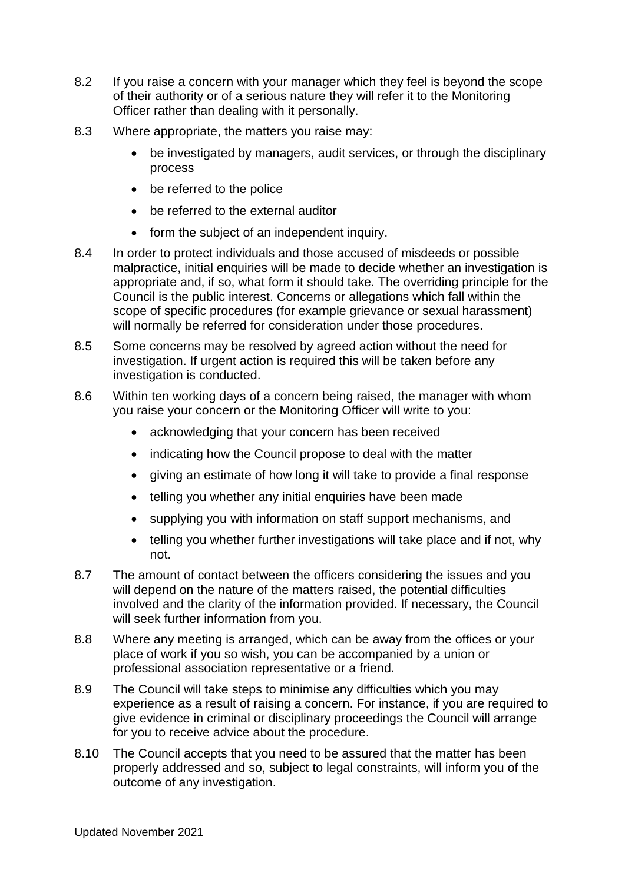- 8.2 If you raise a concern with your manager which they feel is beyond the scope of their authority or of a serious nature they will refer it to the Monitoring Officer rather than dealing with it personally.
- 8.3 Where appropriate, the matters you raise may:
	- be investigated by managers, audit services, or through the disciplinary process
	- be referred to the police
	- be referred to the external auditor
	- form the subject of an independent inquiry.
- 8.4 In order to protect individuals and those accused of misdeeds or possible malpractice, initial enquiries will be made to decide whether an investigation is appropriate and, if so, what form it should take. The overriding principle for the Council is the public interest. Concerns or allegations which fall within the scope of specific procedures (for example grievance or sexual harassment) will normally be referred for consideration under those procedures.
- 8.5 Some concerns may be resolved by agreed action without the need for investigation. If urgent action is required this will be taken before any investigation is conducted.
- 8.6 Within ten working days of a concern being raised, the manager with whom you raise your concern or the Monitoring Officer will write to you:
	- acknowledging that your concern has been received
	- indicating how the Council propose to deal with the matter
	- giving an estimate of how long it will take to provide a final response
	- telling you whether any initial enquiries have been made
	- supplying you with information on staff support mechanisms, and
	- telling you whether further investigations will take place and if not, why not.
- 8.7 The amount of contact between the officers considering the issues and you will depend on the nature of the matters raised, the potential difficulties involved and the clarity of the information provided. If necessary, the Council will seek further information from you.
- 8.8 Where any meeting is arranged, which can be away from the offices or your place of work if you so wish, you can be accompanied by a union or professional association representative or a friend.
- 8.9 The Council will take steps to minimise any difficulties which you may experience as a result of raising a concern. For instance, if you are required to give evidence in criminal or disciplinary proceedings the Council will arrange for you to receive advice about the procedure.
- 8.10 The Council accepts that you need to be assured that the matter has been properly addressed and so, subject to legal constraints, will inform you of the outcome of any investigation.